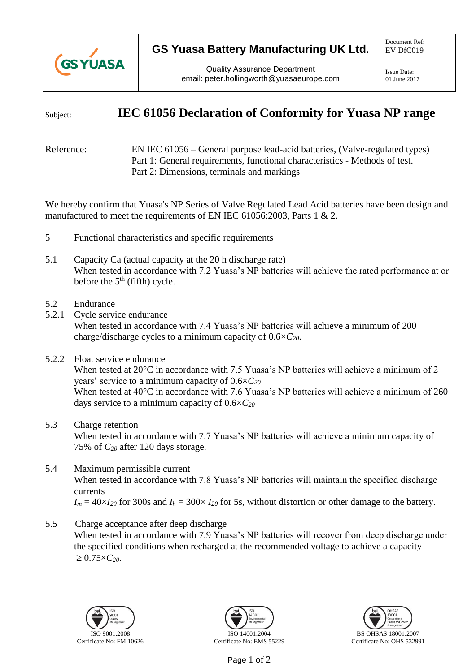

## **GS Yuasa Battery Manufacturing UK Ltd.**

Document Ref: EV DfC019

Quality Assurance Department email: peter.hollingworth@yuasaeurope.com

Issue Date: 01 June 2017

## Subject: **IEC 61056 Declaration of Conformity for Yuasa NP range**

Reference: EN IEC 61056 – General purpose lead-acid batteries, (Valve-regulated types) Part 1: General requirements, functional characteristics - Methods of test. Part 2: Dimensions, terminals and markings

We hereby confirm that Yuasa's NP Series of Valve Regulated Lead Acid batteries have been design and manufactured to meet the requirements of EN IEC 61056:2003, Parts 1 & 2.

- 5 Functional characteristics and specific requirements
- 5.1 Capacity Ca (actual capacity at the 20 h discharge rate) When tested in accordance with 7.2 Yuasa's NP batteries will achieve the rated performance at or before the  $5<sup>th</sup>$  (fifth) cycle.
- 5.2 Endurance
- 5.2.1 Cycle service endurance When tested in accordance with 7.4 Yuasa's NP batteries will achieve a minimum of 200 charge/discharge cycles to a minimum capacity of 0.6×*C20*.
- 5.2.2 Float service endurance When tested at 20°C in accordance with 7.5 Yuasa's NP batteries will achieve a minimum of 2 years' service to a minimum capacity of 0.6×*C<sup>20</sup>* When tested at 40°C in accordance with 7.6 Yuasa's NP batteries will achieve a minimum of 260 days service to a minimum capacity of 0.6×*C<sup>20</sup>*
- 5.3 Charge retention

When tested in accordance with 7.7 Yuasa's NP batteries will achieve a minimum capacity of 75% of *C<sup>20</sup>* after 120 days storage.

- 5.4 Maximum permissible current When tested in accordance with 7.8 Yuasa's NP batteries will maintain the specified discharge currents  $I_m = 40 \times I_{20}$  for 300s and  $I_h = 300 \times I_{20}$  for 5s, without distortion or other damage to the battery.
- 5.5 Charge acceptance after deep discharge When tested in accordance with 7.9 Yuasa's NP batteries will recover from deep discharge under the specified conditions when recharged at the recommended voltage to achieve a capacity  $\geq 0.75 \times C_{20}$